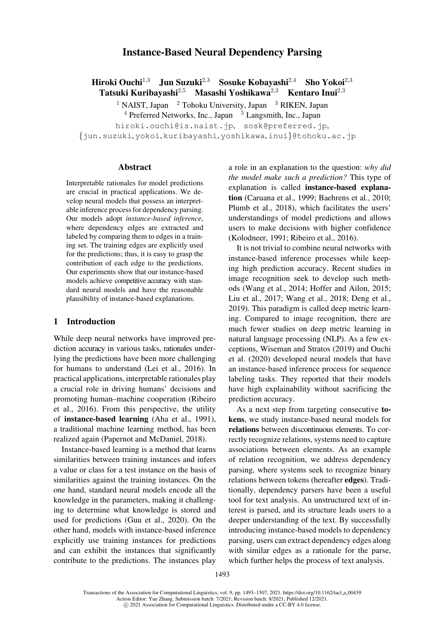# Instance-Based Neural Dependency Parsing

Hiroki Ouchi<sup>1,3</sup> Jun Suzuki<sup>2,3</sup> Sosuke Kobayashi<sup>2,4</sup> Sho Yokoi<sup>2,3</sup> Tatsuki Kuribayashi<sup>2,5</sup> Masashi Yoshikawa<sup>2,3</sup> Kentaro Inui<sup>2,3</sup>

<sup>1</sup> NAIST, Japan <sup>2</sup> Tohoku University, Japan <sup>3</sup> RIKEN, Japan  $4$  Preferred Networks, Inc., Japan  $5$  Langsmith, Inc., Japan hiroki.ouchi@is.naist.jp, sosk@preferred.jp, {jun.suzuki, yokoi, kuribayashi, yoshikawa, inui}@tohoku.ac.jp

# [Abstract](mailto:hiroki.ouchi@is.naist.jp)

Interpretable rationales for model predictions are crucial in practical applications. We develop neural models that possess an interpretable inference process for dependency parsing. Our models adopt *instance-based inference*, where dependency edges are extracted and labeled by comparing them to edges in a training set. The training edges are explicitly used for the predictions; thus, it is easy to grasp the contribution of each edge to the predictions. Our experiments show that our instance-based models achieve competitive accuracy with standard neural models and have the reasonable plausibility of instance-based explanations.

## 1 Introduction

While deep neural networks have improved prediction accuracy in various tasks, rationales underlying the predictions have been more challenging for humans to understand (Lei et al., 2016). In practical applications, interpretable rationales play a crucial role in driving humans' decisions and promoting human–machine [cooperation \(Rib](#page-12-0)eiro et al., 2016). From this perspective, the utility of instance-based learning (Aha et al., 1991), a traditional machine learning method, has been realize[d agai](#page-13-1)n (Papernot and McDaniel, 2[018\).](#page-13-0)

[Insta](#page-13-0)nce-based learning is a [method that learn](#page-10-0)s similarities between training instances and infers a value or clas[s for a test instance on the basi](#page-13-2)s of similarities against the training instances. On the one hand, standard neural models encode all the knowledge in the parameters, making it challenging to determine what knowledge is stored and used for predictions (Guu et al., 2020). On the other hand, models with instance-based inference explicitly use training instances for predictions and can exhibit the instances that significantly contribute to the pred[ictions.](#page-11-0) [Th](#page-11-0)e [instan](#page-11-0)ces play a ro[le](mailto:sosk@preferred.jp) [in](mailto:sosk@preferred.jp) [an](mailto:sosk@preferred.jp)[explanation](mailto:sosk@preferred.jp) [to](mailto:sosk@preferred.jp) [the](mailto:sosk@preferred.jp) question: *why did [the](mailto:yoshikawa@tohoku.ac.jp) [model](mailto:yoshikawa@tohoku.ac.jp) [m](mailto:yoshikawa@tohoku.ac.jp)ake such a prediction?* This type of explanation is called instance-based explanation (Caruana et al., 1999; Baehrens et al., 2010; Plumb et al., 2018), which facilitates the users' understandings of model predictions and allows users to make decisions [with higher confidence](#page-11-2) [\(Kolo](#page-13-3)[dneer,](#page-11-1)[1991;](#page-11-1) [Ribeiro](#page-11-1) et al., 2016).

It is not triv[ial](#page-13-3) [to](#page-13-3) combine neural networks with instance-based inference processes while keeping high prediction accuracy. Recent studies in [image](#page-12-1) [recognition](#page-12-1) [seek](#page-13-1) [to](#page-13-1) [develop](#page-13-1) [s](#page-13-1)uch methods (Wang et al., 2014; Hoffer and Ailon, 2015; Liu et al., 2017; Wang et al., 2018; Deng et al., 2019). This paradigm is called deep metric learning. Compared to image recognition, there are muc[h](#page-14-0) [fewer](#page-14-0) [studies](#page-14-0) [on](#page-14-0) [deep](#page-12-2) [metric](#page-12-2) [learning](#page-12-2) [in](#page-12-2) [natural](#page-12-3) [language](#page-12-3) [processing](#page-14-1) [\(NLP\).](#page-14-1) [As](#page-11-3) [a](#page-11-3) [few](#page-11-3) [ex](#page-11-3)[ceptio](#page-11-3)ns, Wiseman and Stratos (2019) and Ouchi et al. (2020) developed neural models that have an instance-based inference process for sequence labeling tasks. They reported that their models have [hig](#page-13-4)[h](#page-14-2) [explainability](#page-14-2) [without](#page-14-2) [sac](#page-14-2)[rificin](#page-13-4)g the predic[tion](#page-13-4) [ac](#page-13-4)curacy.

As a next step from targeting consecutive tokens, we study instance-based neural models for relations between discontinuous elements. To correctly recognize relations, systems need to capture associations between elements. As an example of relation recognition, we address dependency parsing, where systems seek to recognize binary relations between tokens (hereafter edges). Traditionally, dependency parsers have been a useful tool for text analysis. An unstructured text of interest is parsed, and its structure leads users to a deeper understanding of the text. By successfully introducing instance-based models to dependency parsing, users can extract dependency edges along with similar edges as a rationale for the parse, which further helps the process of text analysis.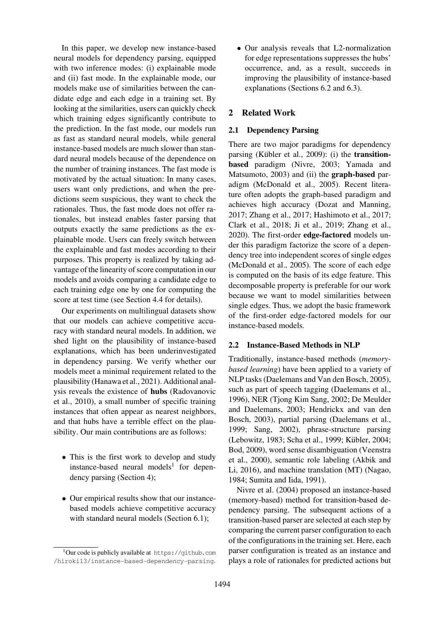In this paper, we develop new instance-based neural models for dependency parsing, equipped with two inference modes: (i) explainable mode and (ii) fast mode. In the explainable mode, our models make use of similarities between the candidate edge and each edge in a training set. By looking at the similarities, users can quickly check which training edges significantly contribute to the prediction. In the fast mode, our models run as fast as standard neural models, while general instance-based models are much slower than standard neural models because of the dependence on the number of training instances. The fast mode is motivated by the actual situation: In many cases, users want only predictions, and when the predictions seem suspicious, they want to check the rationales. Thus, the fast mode does not offer rationales, but instead enables faster parsing that outputs exactly the same predictions as the explainable mode. Users can freely switch between the explainable and fast modes according to their purposes. This property is realized by taking advantage of the linearity of score computation in our models and avoids comparing a candidate edge to each training edge one by one for computing the score at test time (see Section 4.4 for details).

Our experiments on multilingual datasets show that our models can achieve competitive accuracy with standard neural models. In addition, we shed light on the pl[ausibility](#page-4-0) [of](#page-4-0) instance-based explanations, which has been underinvestigated in dependency parsing. We verify whether our models meet a minimal requirement related to the plausibility (Hanawa et al., 2021). Additional analysis reveals the existence of hubs (Radovanovic et al., 2010), a small number of specific training instances that often appear as nearest neighbors, and that hu[bs](#page-11-4) [have](#page-11-4) [a](#page-11-4) [terrible](#page-11-4) [e](#page-11-4)ffect on the plau[sibilit](#page-13-5)[y. Our](#page-13-6) main contributions are [as](#page-13-5) [follows:](#page-13-5)

- This is the first work to develop and study instance-based neural models<sup>1</sup> for dependency parsing (Section 4);
- Our empirical results show tha[t o](#page-1-0)ur instancebased models achieve competitive accuracy with standard [neural](#page-3-0) [mod](#page-3-0)els (Section 6.1);

• Our analysis reveals that L2-normalization for edge representations suppresses the hubs' occurrence, and, as a result, succeeds in improving the plausibility of instance-based explanations (Sections 6.2 and 6.3).

# 2 Related Work

## 2.1 Dependency [Parsing](#page-8-0)

There are two major paradigms for dependency parsing (Kübler et al., 2009): (i) the transitionbased paradigm (Nivre, 2003; Yamada and Matsumoto, 2003) and (ii) the **graph-based** paradigm (McDonald et al., 2005). Recent literature ofte[n](#page-12-4) [adopts](#page-12-4) [the](#page-12-4) [graph-](#page-12-4)based paradigm and achieves high acc[uracy](#page-13-7) ([Dozat](#page-13-7) and Manning, 2017; Zhan[g](#page-14-3) [et](#page-14-3) [al.](#page-14-3), 2017; Hashimoto et al., 2017; Clark e[t](#page-13-8) [al.,](#page-13-8) [2018;](#page-13-8) [Ji](#page-13-8) [et](#page-13-8) [a](#page-13-8)l[.,](#page-13-8) [201](#page-13-8)9; Zhang et al., 2020). The first-order edge-factored models under this paradigm factoriz[e](#page-11-5) [the](#page-11-5) [score](#page-11-5) [of](#page-11-5) [a](#page-11-5) [depen](#page-11-5)[dency](#page-11-5) [tree](#page-14-4) [into](#page-14-4) [independe](#page-14-4)[nt](#page-11-6) [scores](#page-11-6) [of](#page-11-6) [single](#page-11-6) [edges](#page-11-6) [\(McDonald](#page-11-7) [et](#page-11-7) [al.,](#page-11-7) [2005\).](#page-12-5) [The](#page-12-5) [scor](#page-12-5)e [of](#page-14-5) [each](#page-14-5) [edge](#page-14-5) [is](#page-14-5) [com](#page-14-5)puted on the basis of its edge feature. This decomposable property is preferable for our work because we want to model similarities between [single](#page-13-8) [edges.](#page-13-8) [Thu](#page-13-8)s[,](#page-13-8) [we](#page-13-8) [a](#page-13-8)dopt the basic framework of the first-order edge-factored models for our instance-based models.

### 2.2 Instance-Based Methods in NLP

Traditionally, instance-based methods (*memorybased learning*) have been applied to a variety of NLP tasks (Daelemans and Van den Bosch, 2005), such as part of speech tagging (Daelemans et al., 1996), NER (Tjong Kim Sang, 2002; De Meulder and Daelemans, 2003; Hendrickx and van den Bosch, 20[03\),](#page-11-8) [partial](#page-11-8) [parsing](#page-11-8) [\(Daelemans](#page-11-8) [et](#page-11-8) [al](#page-11-8)., 1999; Sang, 2002), phrase-[structure](#page-11-9) [parsing](#page-11-9) [\(Lebo](#page-11-9)witz, 1[983;](#page-14-6)[Scha](#page-14-6) [et](#page-14-6) [al.,](#page-14-6) [1999;](#page-14-6) [K](#page-14-6)übler, 2004; Bod, [2009\), word](#page-12-6) [sense](#page-12-6) [d](#page-12-6)isamb[iguation \(Veenstra](#page-11-11) et al., 2000), semantic role labeling (Akbik and [Li,](#page-11-11) [20](#page-11-11)1[6\),](#page-13-9) [an](#page-13-9)d [mach](#page-13-9)ine trans[lation](#page-13-10) [\(MT\) \(Nagao](#page-12-8), [1](#page-11-12)[984;](#page-12-7) [Sumita](#page-12-7) [and](#page-12-7) [Iida,](#page-13-10) [1991](#page-13-10)).

Ni[vre](#page-11-12) [et](#page-11-12) al. (2004) proposed an insta[nce-based](#page-14-7) [\(mem](#page-14-7)[ory-ba](#page-14-8)sed) method for transitio[n-based](#page-10-1) [de](#page-10-1)[pen](#page-10-1)[dency](#page-10-2) parsing. The subsequent actio[ns](#page-13-11) [of](#page-13-11) [a](#page-13-11) [transi](#page-13-11)[tion-based](#page-13-12) [parser](#page-13-12) [are](#page-13-12) [se](#page-13-12)lected at each step by comparing the [curren](#page-13-13)t parser configuration to each of the configurations in the training set. Here, each parser configuration is treated as an instance and plays a role of rationales for predicted actions but

<span id="page-1-0"></span> $1$ Our code is publicly available at htt[ps://github.](#page-7-0)com /hiroki13/instance-based-dependency-parsing.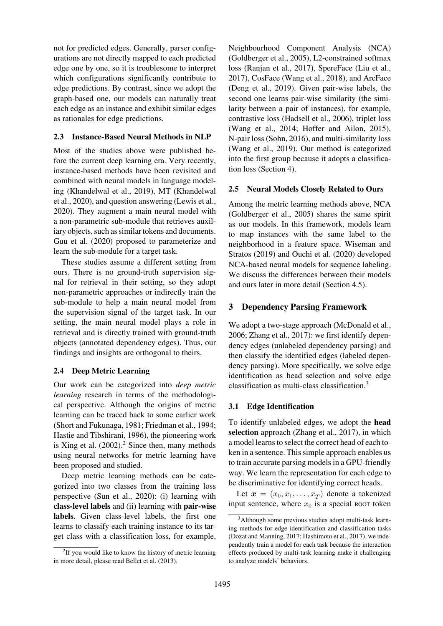not for predicted edges. Generally, parser configurations are not directly mapped to each predicted edge one by one, so it is troublesome to interpret which configurations significantly contribute to edge predictions. By contrast, since we adopt the graph-based one, our models can naturally treat each edge as an instance and exhibit similar edges as rationales for edge predictions.

# 2.3 Instance-Based Neural Methods in NLP

Most of the studies above were published before the current deep learning era. Very recently, instance-based methods have been revisited and combined with neural models in language modeling (Khandelwal et al., 2019), MT (Khandelwal et al., 2020), and question answering (Lewis et al., 2020). They augment a main neural model with a non-parametric sub-module that retrieves auxiliary [objects,](#page-12-9) [such](#page-12-9) [as](#page-12-9) [sim](#page-12-9)i[lar](#page-12-9) [tok](#page-12-9)ens and documents. Guu [et](#page-12-10) [al.](#page-12-10) (2020) proposed to para[meterize](#page-12-11) [and](#page-12-11) [learn](#page-12-11) the sub-module for a target task.

These studies assume a different setting from [ours. Ther](#page-11-0)e [is no](#page-11-0) ground-truth supervision signal for retrieval in their setting, so they adopt non-parametric approaches or indirectly train the sub-module to help a main neural model from the supervision signal of the target task. In our setting, the main neural model plays a role in retrieval and is directly trained with ground-truth objects (annotated dependency edges). Thus, our findings and insights are orthogonal to theirs.

# 2.4 Deep Metric Learning

Our work can be categorized into *deep metric learning* research in terms of the methodological perspective. Although the origins of metric learning can be traced back to some earlier work (Short and Fukunaga, 1981; Friedman et al., 1994; Hastie and Tibshirani, 1996), the pioneering work is Xing et al.  $(2002).<sup>2</sup>$  Since then, many methods [using neural networks for](#page-13-14) [metric learning have](#page-11-13) [been proposed and studied.](#page-12-12)

[Deep metr](#page-14-9)i[c lear](#page-14-9)[ni](#page-2-0)ng methods can be categorized into two classes from the training loss perspective (Sun et al., 2020): (i) learning with class-level labels and (ii) learning with pair-wise labels. Given class-level labels, the first one learns to cla[ssify each t](#page-14-10)r[aining](#page-14-10) instance to its target class with a classification loss, for example, Neighbourhood Component Analysis (NCA) (Goldberger et al., 2005), L2-constrained softmax loss (Ranjan et al., 2017), SpereFace (Liu et al., 2017), CosFace (Wang et al., 2018), and ArcFace (Deng et al., 2019). Given pair-wise labels, the [second](#page-11-14) [one](#page-11-14) [learns](#page-11-14) [pair-](#page-11-14)wise similarity (the similarity [between](#page-13-15) [a](#page-13-15) [p](#page-13-15)a[ir](#page-13-15) [of](#page-13-15) instances), fo[r](#page-12-3) [example,](#page-12-3) [contr](#page-12-3)astive loss [\(Hadsell](#page-14-1) [et](#page-14-1) [al.,](#page-14-1) [200](#page-14-1)6), triplet loss [\(Wang](#page-11-3) [et](#page-11-3) [al](#page-11-3).[,](#page-11-3) [201](#page-11-3)4; Hoffer and Ailon, 2015), N-pair loss (Sohn, 2016), and multi-similarity loss (Wang et al., 2[019\). Our method is](#page-11-15) categorized into the first group be[cause it adopts a classifica](#page-12-2)[tion](#page-14-0) [loss](#page-14-0) [\(Sec](#page-14-0)[tio](#page-13-16)[n](#page-14-0) [4\).](#page-14-0)

# [2.5](#page-14-11) [Neural](#page-14-11) [Mode](#page-14-11)ls Closely Related to Ours

Among t[he metric l](#page-3-0)earning methods above, NCA (Goldberger et al., 2005) shares the same spirit as our models. In this framework, models learn to map instances with the same label to the neighborhood in a feature space. Wiseman and [Stratos](#page-11-14) [\(2019\)](#page-11-14) [and](#page-11-14) [Ouchi](#page-11-14) et al. (2020) developed NCA-based neural models for sequence labeling. We discuss the differences between their models and ou[rs later](#page-14-2) [in](#page-14-2) [m](#page-14-2)[ore detail \(Section](#page-13-4) 4.5).

# 3 Dependency Parsing Framework

We adopt a two-stage approa[ch](#page-4-1) [\(McDona](#page-4-1)ld et al., 2006; Zhang et al., 2017): we first identify dependency edges (unlabeled dependency parsing) and then classify the identified edges (labeled dependency parsing). More specificall[y,](#page-12-13) [we](#page-12-13) [solve](#page-12-13) [edge](#page-12-13) [ident](#page-12-13)i[fication](#page-14-4) [as](#page-14-4) [head](#page-14-4) [s](#page-14-4)election and solve edge classification as multi-class classification.3

# 3.1 Edge Identification

To identify unlabeled edges, we adopt t[he](#page-2-1) head selection approach (Zhang et al., 2017), in which a model learns to select the correct head of each token in a sentence. This simple approach enables us to train accurate parsing models in a GPU-friendly way. We learn the r[epresentation](#page-14-4) [for](#page-14-4) [ea](#page-14-4)ch edge to be discriminative for identifying correct heads.

Let  $\mathbf{x} = (x_0, x_1, \dots, x_T)$  denote a tokenized input sentence, where  $x_0$  is a special ROOT token

<span id="page-2-0"></span> $2$ If you would like to know the history of metric learning in more detail, please read Bellet et al. (2013).

<span id="page-2-1"></span><sup>3</sup>Although some previous studies adopt multi-task learning methods for edge identification and classification tasks (Dozat and Manning, 2017; Hashimoto et al., 2017), we independently train a model for each task because the interaction effects produced by multi-task learning make it challenging to analyze models' behaviors.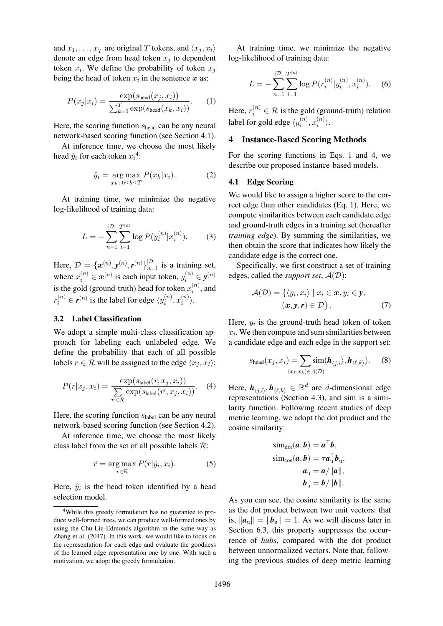and  $x_1, \ldots, x_T$  are original T tokens, and  $\langle x_j, x_i \rangle$ denote an edge from head token  $x_i$  to dependent token  $x_i$ . We define the probability of token  $x_j$ being the head of token  $x_i$  in the sentence  $x$  as:

$$
P(x_j|x_i) = \frac{\exp(s_{\text{head}}(x_j, x_i))}{\sum_{k=0}^{T} \exp(s_{\text{head}}(x_k, x_i))}.
$$
 (1)

Here, the scoring function  $s_{head}$  can be any neural network-based scoring function (see Section 4.1).

At inference time, we choose the most likely head  $\hat{y}_i$  for each token  $x_i^4$ :

$$
\hat{y}_i = \underset{x_k \colon 0 \le k \le T}{\arg \max} P(x_k | x_i). \tag{2}
$$

At training time, we [m](#page-3-2)inimize the negative log-likelihood of training data:

$$
L = -\sum_{n=1}^{|\mathcal{D}|} \sum_{i=1}^{T^{(n)}} \log P(y_i^{(n)} | x_i^{(n)}).
$$
 (3)

Here,  $\mathcal{D} = {\{\mathbf{x}^{(n)}, \mathbf{y}^{(n)}, \mathbf{r}^{(n)}\}}_{n=1}^{|\mathcal{D}|}$  is a training set, where  $x_i^{(n)} \in \boldsymbol{x}^{(n)}$  is each input token,  $y_i^{(n)} \in \mathbf{y}^{(n)}$ is the gold (ground-truth) head for token  $x_i^{(n)}$ , and  $r_i^{(n)} \in \boldsymbol{r}^{(n)}$  is the label for edge  $\langle y_i^{(n)}, x_i^{(n)} \rangle$ .

### 3.2 Label Classification

We adopt a simple multi-class classification approach for labeling each unlabeled edge. We define the probability that each of all possible labels  $r \in \mathcal{R}$  will be assigned to the edge  $\langle x_j, x_i \rangle$ :

$$
P(r|x_j, x_i) = \frac{\exp(s_{\text{label}}(r, x_j, x_i))}{\sum_{r' \in \mathcal{R}} \exp(s_{\text{label}}(r', x_j, x_i))}.
$$
 (4)

Here, the scoring function  $s_{label}$  can be any neural network-based scoring function (see Section 4.2).

At inference time, we choose the most likely class label from the set of all possible labels  $\mathcal{R}$ :

$$
\hat{r} = \underset{r \in \mathcal{R}}{\arg \max} P(r|\hat{y}_i, x_i). \tag{5}
$$

Here,  $\hat{y}_i$  is the head token identified by a head selection model.

At training time, we minimize the negative log-likelihood of training data:

$$
L = -\sum_{n=1}^{|\mathcal{D}|} \sum_{i=1}^{T^{(n)}} \log P(r_i^{(n)} | y_i^{(n)}, x_i^{(n)}).
$$
 (6)

Here,  $r_i^{(n)} \in \mathcal{R}$  is the gold (ground-truth) relation label for gold edge  $\langle y_i^{(n)}, x_i^{(n)} \rangle$ .

## 4 Instance-Based Scoring Methods

<span id="page-3-0"></span>For the scoring functions in Eqs. 1 and 4, we describe our proposed instance-based models.

### 4.1 Edge Scoring

<span id="page-3-1"></span>We would like to assign a higher score to the correct edge than other candidates (Eq. 1). Here, we compute similarities between each candidate edge and ground-truth edges in a training set (hereafter *training edge*). By summing the similarities, we then obtain the score that indicates how likely the candidate edge is the correct one.

Specifically, we first construct a set of training edges, called the *support set*,  $A(D)$ :

$$
\mathcal{A}(\mathcal{D}) = \{ \langle y_i, x_i \rangle \mid x_i \in \mathbf{x}, y_i \in \mathbf{y}, (\mathbf{x}, \mathbf{y}, \mathbf{r}) \in \mathcal{D} \}.
$$
 (7)

Here,  $y_i$  is the ground-truth head token of token  $x_i$ . We then compute and sum similarities between a candidate edge and each edge in the support set:

<span id="page-3-3"></span>
$$
s_{\text{head}}(x_j, x_i) = \sum_{\langle x_\ell, x_k \rangle \in \mathcal{A}(\mathcal{D})} \text{sim}(\boldsymbol{h}_{\langle j,i \rangle}, \boldsymbol{h}_{\langle \ell, k \rangle}). \tag{8}
$$

Here,  $h_{\langle j,i \rangle}, h_{\langle \ell,k \rangle} \in \mathbb{R}^d$  are *d*-dimensional edge representations (Section 4.3), and sim is a similarity function. Following recent studies of deep metric learning, we adopt the dot product and the cosine similarity[:](#page-4-3)

$$
\text{sim}_{\text{dot}}(a, b) = a^{\top}b,
$$
\n
$$
\text{sim}_{\text{cos}}(a, b) = \tau a_{\text{u}}^{\top}b_{\text{u}},
$$
\n
$$
a_{\text{u}} = a/||a||,
$$
\n
$$
b_{\text{u}} = b/||b||.
$$

As you can see, the cosine similarity is the same as the dot product between two unit vectors: that is,  $\|\boldsymbol{a}_{\nu}\| = \|\boldsymbol{b}_{\nu}\| = 1$ . As we will discuss later in Section 6.3, this property suppresses the occurrence of *hubs*, compared with the dot product between unnormalized vectors. Note that, follow[ing the](#page-9-0) [prev](#page-9-0)ious studies of deep metric learning

<span id="page-3-2"></span><sup>&</sup>lt;sup>4</sup>While this greedy formulation has no guarantee to produce well-formed trees, we can produce well-formed ones by using the Chu-Liu-Edmonds algorithm in the same way as Zhang et al. (2017). In this work, we would like to focus on the representation for each edge and evaluate the goodness of the learned edge representation one by one. With such a motivation, we adopt the greedy formulation.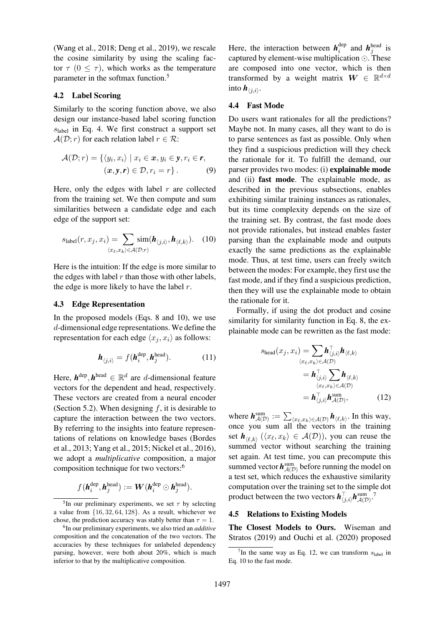(Wang et al., 2018; Deng et al., 2019), we rescale the cosine similarity by using the scaling factor  $\tau$  (0  $\leq \tau$ ), which works as the temperature [parameter in the so](#page-14-1)[ftmax funct](#page-11-3)i[on.](#page-11-3)<sup>5</sup>

### 4.2 Label Scoring

<span id="page-4-2"></span>Similarly to the scoring function [ab](#page-4-4)ove, we also design our instance-based label scoring function  $s<sub>label</sub>$  in Eq. 4. We first construct a support set  $\mathcal{A}(\mathcal{D}; r)$  for each relation label  $r \in \mathcal{R}$ :

$$
\mathcal{A}(\mathcal{D};r) = \{ \langle y_i, x_i \rangle \mid x_i \in \mathbf{x}, y_i \in \mathbf{y}, r_i \in \mathbf{r}, (\mathbf{x}, \mathbf{y}, \mathbf{r}) \in \mathcal{D}, r_i = r \}.
$$
 (9)

Here, only the edges with label  $r$  are collected from the training set. We then compute and sum similarities between a candidate edge and each edge of the support set:

$$
s_{\text{label}}(r, x_j, x_i) = \sum_{\langle x_\ell, x_k \rangle \in \mathcal{A}(\mathcal{D}; r)} \text{sim}(\boldsymbol{h}_{\langle j, i \rangle}, \boldsymbol{h}_{\langle \ell, k \rangle}). \quad (10)
$$

Here is the intuition: If the edge is more similar to the edges with label  $r$  than those with other labels, the edge is more likely to have the label  $r$ .

### 4.3 Edge Representation

<span id="page-4-3"></span>In the proposed models (Eqs. 8 and 10), we use d-dimensional edge representations. We define the representation for each edge  $\langle x_j, x_i \rangle$  as follows:

$$
\boldsymbol{h}_{\langle j,i\rangle} = f(\boldsymbol{h}_i^{\text{dep}}, \boldsymbol{h}_j^{\text{head}}). \tag{11}
$$

Here,  $h^{\text{dep}}$ ,  $h^{\text{head}} \in \mathbb{R}^d$  are d-dimensional feature vectors for the dependent and head, respectively. These vectors are created from a neural encoder (Section 5.2). When designing  $f$ , it is desirable to capture the interaction between the two vectors. By referring to the insights into feature representations of relations on knowledge bases (Bordes [et](#page-5-0) [al.,](#page-5-0) [2013;](#page-5-0) [Y](#page-5-0)ang et al., 2015; Nickel et al., 2016), we adopt a *multiplicative* composition, a major composition technique for two vectors:6

$$
f(\boldsymbol{h}_i^{\text{dep}}, \boldsymbol{h}_j^{\text{head}}) := \boldsymbol{W}(\boldsymbol{h}_i^{\text{dep}} \odot \boldsymbol{h}_j^{\text{head}}).
$$

<sup>5</sup>In our preliminary experiments, we set  $\tau$  [b](#page-4-5)y selecting a value from  $\{16, 32, 64, 128\}$ . As a result, whichever we chose, the prediction accuracy was stably better than  $\tau = 1$ .

Here, the interaction between  $h_i^{\text{dep}}$  and  $h_j^{\text{head}}$  is captured by element-wise multiplication  $\odot$ . These are composed into one vector, which is then transformed by a weight matrix  $W \in \mathbb{R}^{d \times d}$ into  $h_{\langle j,i \rangle}$ .

### 4.4 Fast Mode

<span id="page-4-7"></span><span id="page-4-0"></span>Do users want rationales for all the predictions? Maybe not. In many cases, all they want to do is to parse sentences as fast as possible. Only when they find a suspicious prediction will they check the rationale for it. To fulfill the demand, our parser provides two modes: (i) explainable mode and (ii) fast mode. The explainable mode, as described in the previous subsections, enables exhibiting similar training instances as rationales, but its time complexity depends on the size of the training set. By contrast, the fast mode does not provide rationales, but instead enables faster parsing than the explainable mode and outputs exactly the same predictions as the explainable mode. Thus, at test time, users can freely switch between the modes: For example, they first use the fast mode, and if they find a suspicious prediction, then they will use the explainable mode to obtain the rationale for it.

Formally, if using the dot product and cosine similarity for similarity function in Eq. 8, the explainable mode can be rewritten as the fast mode:

<span id="page-4-8"></span>
$$
s_{\text{head}}(x_j, x_i) = \sum_{\langle x_\ell, x_k \rangle \in \mathcal{A}(\mathcal{D})} \boldsymbol{h}_{\langle j,i \rangle}^{\top} \boldsymbol{h}_{\langle \ell,k \rangle} = \boldsymbol{h}_{\langle j,i \rangle}^{\top} \sum_{\langle x_\ell, x_k \rangle \in \mathcal{A}(\mathcal{D})} \boldsymbol{h}_{\langle \ell,k \rangle} = \boldsymbol{h}_{\langle j,i \rangle}^{\top} \boldsymbol{h}_{\mathcal{A}(\mathcal{D})}^{\text{sum}},
$$
(12)

where  $h_{\mathcal{A}(\mathcal{D})}^{\text{sum}} := \sum_{\langle x_\ell, x_k \rangle \in \mathcal{A}(\mathcal{D})} \mathbf{h}_{\langle \ell, k \rangle}$ . In this way, once you sum all the vectors in the training set  $\bm{h}_{\langle \ell,k \rangle}$   $(\langle x_\ell, x_k \rangle \in \mathcal{A}(\mathcal{D})),$  you can reuse the summed vector without searching the training set again. At test time, you can precompute this summed vector  $h^{\text{sum}}_{\mathcal{A}(\mathcal{D})}$  before running the model on a test set, which reduces the exhaustive similarity computation over the training set to the simple dot product between the two vectors  $\pmb{h}_{\langle j,i\rangle}^{\top} \pmb{h}_{\mathcal{A}(\mathcal{D})}^{\text{sum}}.^{\hspace{0.5mm}7}$ 

#### 4.5 Relations to Existing Models

The Closest Models to Ours. Wisema[n](#page-4-6) and Stratos (2019) and Ouchi et al. (2020) proposed

<span id="page-4-5"></span><span id="page-4-4"></span><sup>6</sup>In our preliminary experiments, we also tried an *additive* composition and the concatenation of the two vectors. The accuracies by these techniques for unlabeled dependency parsing, however, were both about 20%, which is much inferior to that by the multiplicative composition.

<span id="page-4-6"></span><span id="page-4-1"></span><sup>&</sup>lt;sup>7</sup>In the same way as Eq. 12, we can transform  $s_{\text{label}}$  in Eq. 10 to the fast mode.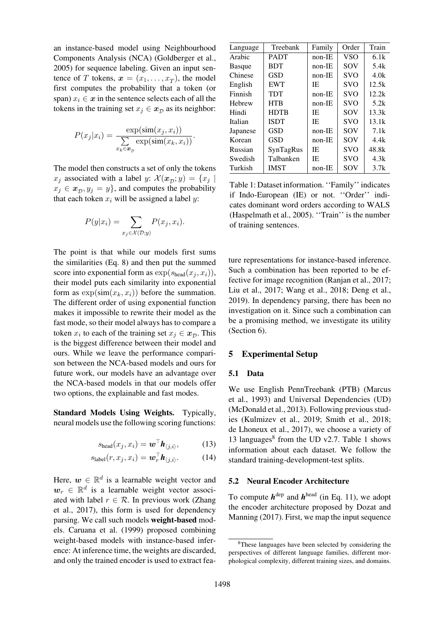an instance-based model using Neighbourhood Components Analysis (NCA) (Goldberger et al., 2005) for sequence labeling. Given an input sentence of T tokens,  $x = (x_1, \ldots, x_T)$ , the model first computes the probability that a token (or span)  $x_i \in \mathbf{x}$  in the sentence sel[ects](#page-11-14) [each](#page-11-14) [of](#page-11-14) [all](#page-11-14) [the](#page-11-14) [token](#page-11-14)s in the training set  $x_j \in x_D$  as its neighbor:

$$
P(x_j|x_i) = \frac{\exp(\text{sim}(x_j, x_i))}{\sum_{x_k \in \mathbf{x}_D} \exp(\text{sim}(x_k, x_i))}.
$$

The model then constructs a set of only the tokens  $x_j$  associated with a label y:  $\mathcal{X}(\mathbf{x}_D; y) = \{x_j \mid$  $x_i \in \mathbf{x}_{\mathcal{D}}, y_i = y$ , and computes the probability that each token  $x_i$  will be assigned a label y:

$$
P(y|x_i) = \sum_{x_j \in \mathcal{X}(\mathcal{D}; y)} P(x_j, x_i).
$$

The point is that while our models first sums the similarities (Eq. 8) and then put the summed score into exponential form as  $\exp(s_{\text{head}}(x_i, x_i)),$ their model puts each similarity into exponential form as  $\exp(\sin(x_k, x_i))$  before the summation. The different order of using exponential function makes it impossible to rewrite their model as the fast mode, so their model always has to compare a token  $x_i$  to each of the training set  $x_j \in \mathbf{x}_D$ . This is the biggest difference between their model and ours. While we leave the performance comparison between the NCA-based models and ours for future work, our models have an advantage over the NCA-based models in that our models offer two options, the explainable and fast modes.

Standard Models Using Weights. Typically, neural models use the following scoring functions:

$$
s_{\text{head}}(x_j, x_i) = \boldsymbol{w}^\top \boldsymbol{h}_{\langle j,i \rangle}, \quad (13)
$$

$$
s_{\text{label}}(r, x_j, x_i) = \boldsymbol{w}_r^\top \boldsymbol{h}_{\langle j, i \rangle}.
$$
 (14)

Here,  $w \in \mathbb{R}^d$  is a learnable weight vector and  $w_r \in \mathbb{R}^d$  is a learnable weight vector associated with label  $r \in \mathcal{R}$ . In previous work (Zhang et al., 2017), this form is used for dependency parsing. We call such models weight-based models. Caruana et al. (1999) proposed combining weight-based models with instance-base[d infer](#page-14-13)[ence:](#page-14-13) [At](#page-14-4) [infe](#page-14-4)rence time, the weights are discarded, and [only the trained](#page-11-1) e[ncode](#page-11-1)r is used to extract fea-

| Language      | Treebank    | Family   | Order      | Train |
|---------------|-------------|----------|------------|-------|
| Arabic        | <b>PADT</b> | $non-IE$ | <b>VSO</b> | 6.1k  |
| <b>Basque</b> | <b>BDT</b>  | $non-IE$ | SOV        | 5.4k  |
| Chinese       | GSD         | $non-IE$ | <b>SVO</b> | 4.0k  |
| English       | <b>EWT</b>  | IE       | <b>SVO</b> | 12.5k |
| Finnish       | TDT         | $non-IE$ | <b>SVO</b> | 12.2k |
| Hebrew        | HTB         | $non-IE$ | <b>SVO</b> | 5.2k  |
| Hindi         | <b>HDTB</b> | IE       | SOV        | 13.3k |
| Italian       | <b>ISDT</b> | IE.      | <b>SVO</b> | 13.1k |
| Japanese      | GSD         | $non-IE$ | SOV        | 7.1k  |
| Korean        | <b>GSD</b>  | $non-IE$ | SOV        | 4.4k  |
| Russian       | SynTagRus   | IE.      | <b>SVO</b> | 48.8k |
| Swedish       | Talbanken   | IE       | <b>SVO</b> | 4.3k  |
| Turkish       | <b>IMST</b> | non-IE   | SOV        | 3.7k  |

Table 1: Dataset information. ''Family'' indicates if Indo-European (IE) or not. ''Order'' indicates dominant word orders according to WALS (Haspelmath et al., 2005). ''Train'' is the number of training sentences.

<span id="page-5-2"></span>ture representations for instance-based inference. Such a combination has been reported to be effective for image recognition (Ranjan et al., 2017; Liu et al., 2017; Wang et al., 2018; Deng et al., 2019). In dependency parsing, there has been no investigation on it. Since suc[h a combination can](#page-13-15) [be a promising](#page-12-3) [method, we i](#page-14-1)n[vestig](#page-14-1)[ate its utility](#page-11-3) [\(Sect](#page-11-3)ion 6).

### 5 Experimental Setup

### [5.1](#page-7-1) [Data](#page-7-1)

We use English PennTreebank (PTB) (Marcus et al., 1993) and Universal Dependencies (UD) (McDonald et al., 2013). Following previous studies (Kulmizev et al., 2019; Smith et al., 2018; de L[honeux](#page-12-14) [et](#page-12-14) [al.,](#page-12-14) [2017\),](#page-12-14) [we](#page-12-14) [choose](#page-12-14) [a](#page-12-14) [va](#page-12-14)riety of 13 lan[guage](#page-12-14)s $8$  from the UD v2.7. Table 1 shows [information](#page-12-15) [about](#page-12-15) [eac](#page-12-15)h dat[aset. We follow the](#page-13-18) [stand](#page-12-17)[ard](#page-12-16)[training-de](#page-12-16)[vel](#page-12-17)[opme](#page-12-16)nt-test splits.

## <span id="page-5-3"></span>5.2 Neural [E](#page-5-1)ncoder Architect[ure](#page-5-2)

<span id="page-5-4"></span><span id="page-5-0"></span>To compute  $h^{\text{dep}}$  and  $h^{\text{head}}$  (in Eq. 11), we adopt the encoder architecture proposed by Dozat and Manning (2017). First, we map the input sequence

<span id="page-5-1"></span><sup>8</sup>These languages have been selected by c[onsidering the](#page-11-17) [perspective](#page-11-17)s [of dif](#page-11-5)ferent language families, different morphological complexity, different training sizes, and domains.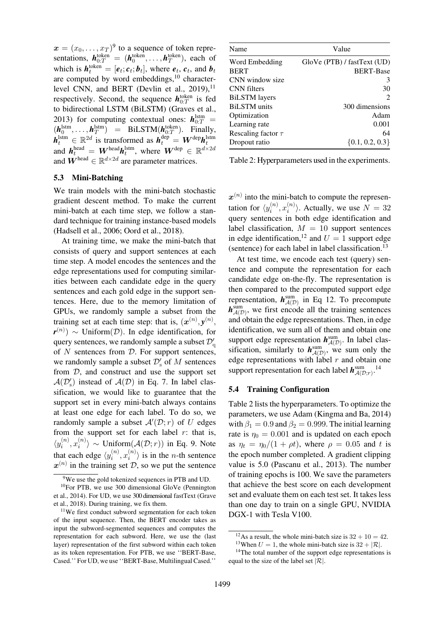$\boldsymbol{x} = (x_0, \dots, x_T)^9$  to a sequence of token representations,  $h_{0:T}^{\text{token}} = (h_0^{\text{token}}, \dots, h_T^{\text{token}})$ , each of which is  $h_t^{\text{token}} = [e_t; c_t; b_t]$ , where  $e_t, c_t$ , and  $b_t$ are computed by [w](#page-6-0)ord embeddings, $^{10}$  characterlevel CNN, and BERT (Devlin et al.,  $2019$ ),<sup>11</sup> respectively. Second, the sequence  $h_{0:T}^{\text{token}}$  is fed to bidirectional LSTM (BiLSTM) (Graves et al., 2013) for computing co[ntextual ones](#page-11-18):  $h_{0:T}^{\text{lstm}} =$  $(h_0^{\text{Istm}}, \ldots, h_T^{\text{Istm}}) = \text{BiLSTM}(h_{0:T}^{\text{token}})$ . [Final](#page-11-18)[ly,](#page-6-2)  $\bm{h}^{\text{lstm}}_t \in \mathbb{R}^{2d}$  is transformed as  $\bm{h}^{\text{dep}}_t = \bm{W}^{\text{dep}} \bm{h}^{\text{lstm}}_t$  $\bm{h}^{\text{dep}}_t = \bm{W}^{\text{dep}} \bm{h}^{\text{lstm}}_t$  $\bm{h}^{\text{dep}}_t = \bm{W}^{\text{dep}} \bm{h}^{\text{lstm}}_t$ [and](#page-11-19)  $\boldsymbol{h}^{\text{head}}_t = \boldsymbol{W}^{\text{head}} \boldsymbol{h}^{\text{lstm}}_t$ , where  $\boldsymbol{W}^{\text{dep}} \in \mathbb{R}^{d \times 2d}$ and  $\mathbf{W}^{\text{head}} \in \mathbb{R}^{d \times 2d}$  are parameter matrices.

### 5.3 Mini-Batching

We train models with the mini-batch stochastic gradient descent method. To make the current mini-batch at each time step, we follow a standard technique for training instance-based models (Hadsell et al., 2006; Oord et al., 2018).

At training time, we make the mini-batch that consists of query and support sentences at each time step. A model encodes the sentences and the [edge](#page-11-15) [represen](#page-11-15)t[ations](#page-11-15) [used](#page-13-19) [for](#page-13-19) [computi](#page-13-19)ng similarities between each candidate edge in the query sentences and each gold edge in the support sentences. Here, due to the memory limitation of GPUs, we randomly sample a subset from the training set at each time step: that is,  $(x^{(n)}, y^{(n)},$ *r*<sup>(n)</sup>) ∼ Uniform(*D*). In edge identification, for query sentences, we randomly sample a subset  $\mathcal{D}_{\text{q}}'$ of  $N$  sentences from  $D$ . For support sentences, we randomly sample a subset  $\mathcal{D}'_s$  of M sentences from  $D$ , and construct and use the support set  $\mathcal{A}(\mathcal{D}'_s)$  instead of  $\mathcal{A}(\mathcal{D})$  in Eq. 7. In label classification, we would like to guarantee that the support set in every mini-batch always contains at least one edge for each label. To do so, we randomly sample a subset  $\mathcal{A}'(\mathcal{D};r)$  $\mathcal{A}'(\mathcal{D};r)$  $\mathcal{A}'(\mathcal{D};r)$  of U edges from the support set for each label  $r$ : that is,  $\langle y_i^{(n)}, x_i^{(n)} \rangle \sim \text{Uniform}(\mathcal{A}(\mathcal{D}; r))$  in Eq. 9. Note that each edge  $\langle y_i^{(n)}, x_i^{(n)} \rangle$  is in the *n*-th sentence  $x^{(n)}$  in the training set D, so we put the sentence

| Name                    | Value                         |
|-------------------------|-------------------------------|
| Word Embedding          | $GloVe$ (PTB) / fastText (UD) |
| <b>BERT</b>             | <b>BERT-Base</b>              |
| CNN window size         | 3                             |
| <b>CNN</b> filters      | 30                            |
| <b>BiLSTM</b> layers    | $\mathcal{D}_{\mathcal{L}}$   |
| <b>BiLSTM</b> units     | 300 dimensions                |
| Optimization            | Adam                          |
| Learning rate           | 0.001                         |
| Rescaling factor $\tau$ | 64                            |
| Dropout ratio           | $\{0.1, 0.2, 0.3\}$           |

Table 2: Hyperparameters used in the experiments.

<span id="page-6-6"></span> $x^{(n)}$  into the mini-batch to compute the representation for  $\langle y_i^{(n)}, x_i^{(n)} \rangle$ . Actually, we use  $N = 32$ query sentences in both edge identification and label classification,  $M = 10$  support sentences in edge identification,<sup>12</sup> and  $U = 1$  support edge (sentence) for each label in label classification.<sup>13</sup>

At test time, we encode each test (query) sentence and compute t[he](#page-6-3) representation for each candidate edge on-the-fly. The representatio[n is](#page-6-4) then compared to the precomputed support edge representation,  $h_{\mathcal{A}(\mathcal{D})}^{\text{sum}}$  in Eq 12. To precompute  $h_{\mathcal{A}(D)}^{\text{sum}}$ , we first encode all the training sentences and obtain the edge representations. Then, in edge identification, we sum all of them and obtain one support edge representation  $h_{\mathcal{A(D)}}^{\text{sum}}$  $h_{\mathcal{A(D)}}^{\text{sum}}$  $h_{\mathcal{A(D)}}^{\text{sum}}$ . In label classification, similarly to  $h_{\mathcal{A}(\mathcal{D})}^{\text{sum}}$ , we sum only the edge representations with label  $r$  and obtain one support representation for each label  $h^{\text{sum}}_{\mathcal{A}(\mathcal{D};r)}$ .<sup>14</sup>

### 5.4 Training Configuration

Table 2 lists the hyperparameters. To optimi[ze t](#page-6-5)he parameters, we use Adam (Kingma and Ba, 2014) with  $\beta_1 = 0.9$  and  $\beta_2 = 0.999$ . The initial learning rate is  $\eta_0 = 0.001$  and is updated on each epoch [as](#page-6-6)  $\eta_t = \eta_0/(1 + \rho t)$  $\eta_t = \eta_0/(1 + \rho t)$  $\eta_t = \eta_0/(1 + \rho t)$ , where  $\rho = 0.05$  and t is the epoch number complet[ed.](#page-12-18) [A](#page-12-18) [gradient](#page-12-18) [clipping](#page-12-18) value is 5.0 (Pascanu et al., 2013). The number of training epochs is 100. We save the parameters that achieve the best score on each development set and evaluate them on each test set. It takes less than one day [to](#page-13-22) [train](#page-13-22) [on](#page-13-22) [a](#page-13-22) [s](#page-13-22)i[ngle](#page-13-22) [G](#page-13-22)PU, NVIDIA DGX-1 with Tesla V100.

<sup>9</sup>We use the gold tokenized sequences in PTB [and](#page-4-7) UD.

 $10$ For PTB, we use 300 dimensional GloVe (Pennington et al., 2014). For UD, we use 300 dimensional fastText (Grave et al., 2018). During training, we fix them.

<span id="page-6-2"></span><span id="page-6-1"></span><span id="page-6-0"></span><sup>&</sup>lt;sup>11</sup>We first conduct subword segmentation for each token of the input sequence. Then, the BERT encoder takes as input [the s](#page-13-21)ubword-segmented sequences and c[omputes](#page-13-20) [the](#page-13-20) [repres](#page-13-20)[entati](#page-11-21)on for each subword. Here, we use th[e](#page-11-20) [\(last](#page-11-20) [layer\)](#page-11-20) representation of the first subword within each token as its token representation. For PTB, we use ''BERT-Base, Cased.'' For UD, we use ''BERT-Base, Multilingual Cased.''

<sup>&</sup>lt;sup>12</sup>As a result, the whole mini-batch size is  $32 + 10 = 42$ .

<sup>&</sup>lt;sup>13</sup>When  $U = 1$ , the whole mini-batch size is  $32 + |\mathcal{R}|$ .

<span id="page-6-5"></span><span id="page-6-4"></span><span id="page-6-3"></span><sup>&</sup>lt;sup>14</sup>The total number of the support edge representations is equal to the size of the label set  $|\mathcal{R}|$ .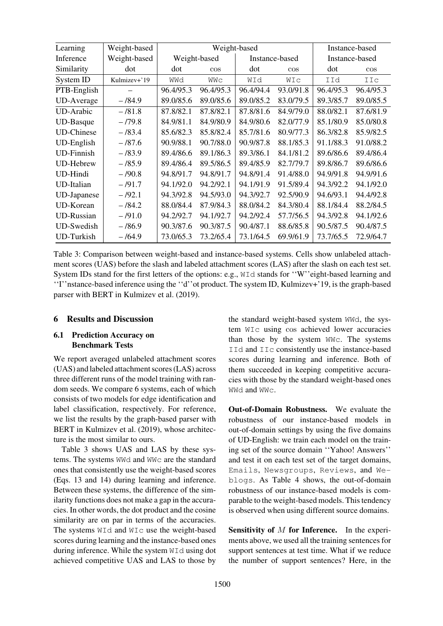| Learning           | Weight-based |              |           | Weight-based   |           | Instance-based |           |
|--------------------|--------------|--------------|-----------|----------------|-----------|----------------|-----------|
| Inference          | Weight-based | Weight-based |           | Instance-based |           | Instance-based |           |
| Similarity         | dot          | dot          | $\cos$    | dot            | $\cos$    | dot            | $\cos$    |
| System ID          | Kulmizev+'19 | WWd          | WWC       | WId            | WIc       | IId            | IIc       |
| PTB-English        |              | 96.4/95.3    | 96.4/95.3 | 96.4/94.4      | 93.0/91.8 | 96.4/95.3      | 96.4/95.3 |
| <b>UD-Average</b>  | $-184.9$     | 89.0/85.6    | 89.0/85.6 | 89.0/85.2      | 83.0/79.5 | 89.3/85.7      | 89.0/85.5 |
| UD-Arabic          | $-181.8$     | 87.8/82.1    | 87.8/82.1 | 87.8/81.6      | 84.9/79.0 | 88.0/82.1      | 87.6/81.9 |
| UD-Basque          | $-779.8$     | 84.9/81.1    | 84.9/80.9 | 84.9/80.6      | 82.0/77.9 | 85.1/80.9      | 85.0/80.8 |
| <b>UD-Chinese</b>  | $-183.4$     | 85.6/82.3    | 85.8/82.4 | 85.7/81.6      | 80.9/77.3 | 86.3/82.8      | 85.9/82.5 |
| UD-English         | $-187.6$     | 90.9/88.1    | 90.7/88.0 | 90.9/87.8      | 88.1/85.3 | 91.1/88.3      | 91.0/88.2 |
| <b>UD-Finnish</b>  | $-183.9$     | 89.4/86.6    | 89.1/86.3 | 89.3/86.1      | 84.1/81.2 | 89.6/86.6      | 89.4/86.4 |
| <b>UD-Hebrew</b>   | $-185.9$     | 89.4/86.4    | 89.5/86.5 | 89.4/85.9      | 82.7/79.7 | 89.8/86.7      | 89.6/86.6 |
| UD-Hindi           | $-190.8$     | 94.8/91.7    | 94.8/91.7 | 94.8/91.4      | 91.4/88.0 | 94.9/91.8      | 94.9/91.6 |
| UD-Italian         | $-191.7$     | 94.1/92.0    | 94.2/92.1 | 94.1/91.9      | 91.5/89.4 | 94.3/92.2      | 94.1/92.0 |
| <b>UD-Japanese</b> | $-192.1$     | 94.3/92.8    | 94.5/93.0 | 94.3/92.7      | 92.5/90.9 | 94.6/93.1      | 94.4/92.8 |
| UD-Korean          | $-184.2$     | 88.0/84.4    | 87.9/84.3 | 88.0/84.2      | 84.3/80.4 | 88.1/84.4      | 88.2/84.5 |
| <b>UD-Russian</b>  | $-791.0$     | 94.2/92.7    | 94.1/92.7 | 94.2/92.4      | 57.7/56.5 | 94.3/92.8      | 94.1/92.6 |
| <b>UD-Swedish</b>  | $-186.9$     | 90.3/87.6    | 90.3/87.5 | 90.4/87.1      | 88.6/85.8 | 90.5/87.5      | 90.4/87.5 |
| UD-Turkish         | $-164.9$     | 73.0/65.3    | 73.2/65.4 | 73.1/64.5      | 69.9/61.9 | 73.7/65.5      | 72.9/64.7 |

Table 3: Comparison between weight-based and instance-based systems. Cells show unlabeled attachment scores (UAS) before the slash and labeled attachment scores (LAS) after the slash on each test set. System IDs stand for the first letters of the options: e.g., WId stands for ''W''eight-based learning and ''I''nstance-based inference using the ''d''ot product. The system ID, Kulmizev+'19, is the graph-based parser with BERT in Kulmizev et al. (2019).

## <span id="page-7-2"></span>6 Results and Discussion

# <span id="page-7-1"></span>6.1 Prediction Ac[curacy](#page-12-16) [on](#page-12-16) Benchmark Tests

<span id="page-7-0"></span>We report averaged unlabeled attachment scores (UAS) and labeled attachment scores (LAS) across three different runs of the model training with random seeds. We compare 6 systems, each of which consists of two models for edge identification and label classification, respectively. For reference, we list the results by the graph-based parser with BERT in Kulmizev et al. (2019), whose architecture is the most similar to ours.

Table 3 shows UAS and LAS by these systems. The systems WWd and WWc are the standard ones that [consistently](#page-12-16) [use](#page-12-16) [the](#page-12-16) [we](#page-12-16)ight-based scores (Eqs. 13 and 14) during learning and inference. B[etween](#page-7-2) [th](#page-7-2)ese systems, the difference of the similarity functions does not make a gap in the accuracies. In other words, the dot product and the cosine simil[arity](#page-5-3) are [on](#page-5-4) par in terms of the accuracies. The systems WId and WIc use the weight-based scores during learning and the instance-based ones during inference. While the system WId using dot achieved competitive UAS and LAS to those by the standard weight-based system WWd, the system WIc using cos achieved lower accuracies than those by the system WWc. The systems IId and IIc consistently use the instance-based scores during learning and inference. Both of them succeeded in keeping competitive accuracies with those by the standard weight-based ones WWd and WWc.

Out-of-Domain Robustness. We evaluate the robustness of our instance-based models in out-of-domain settings by using the five domains of UD-English: we train each model on the training set of the source domain ''Yahoo! Answers'' and test it on each test set of the target domains, Emails, Newsgroups, Reviews, and Weblogs. As Table 4 shows, the out-of-domain robustness of our instance-based models is comparable to the weight-based models. This tendency is observed [when usin](#page-8-1)g different source domains.

Sensitivity of  $M$  for Inference. In the experiments above, we used all the training sentences for support sentences at test time. What if we reduce the number of support sentences? Here, in the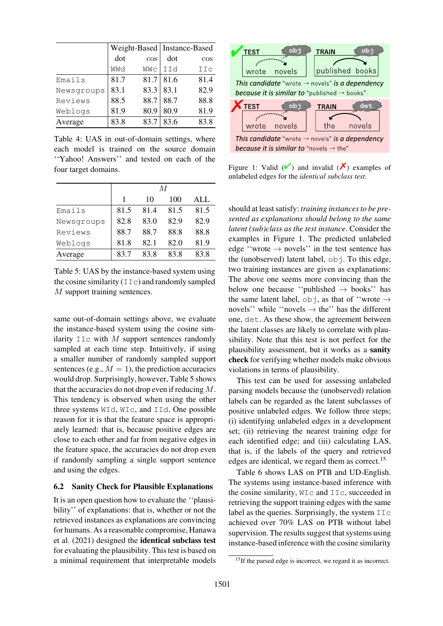|            |      |        | Weight-Based   Instance-Based |        |
|------------|------|--------|-------------------------------|--------|
|            | dot  | $\cos$ | dot                           | $\cos$ |
|            | WWd  | WWc    | <b>IId</b>                    | IIc    |
| Emails     | 81.7 | 81.7   | 81.6                          | 81.4   |
| Newsgroups | 83.1 | 83.3   | 83.1                          | 82.9   |
| Reviews    | 88.5 | 88.7   | 88.7                          | 88.8   |
| Weblogs    | 81.9 | 80.9   | 80.9                          | 81.9   |
| Average    | 83.8 | 83.7   | 83.6                          | 83.8   |

Table 4: UAS in out-of-domain settings, where each model is trained on the source domain ''Yahoo! Answers'' and tested on each of the four target domains.

<span id="page-8-1"></span>

|            | М    |      |      |      |
|------------|------|------|------|------|
|            | 1    | 10   | 100  | ALL  |
| Emails     | 81.5 | 81.4 | 81.5 | 81.5 |
| Newsgroups | 82.8 | 83.0 | 82.9 | 82.9 |
| Reviews    | 88.7 | 88.7 | 88.8 | 88.8 |
| Weblogs    | 81.8 | 82.1 | 82.0 | 81.9 |
| Average    | 83.7 | 83.8 | 83.8 | 83.8 |

Table 5: UAS by the instance-based system using the cosine similarity  $(IIC)$  and randomly sampled M support training sentences.

<span id="page-8-2"></span>same out-of-domain settings above, we evaluate the instance-based system using the cosine similarity  $\text{IC}$  with M support sentences randomly sampled at each time step. Intuitively, if using a smaller number of randomly sampled support sentences (e.g.,  $M = 1$ ), the prediction accuracies would drop. Surprisingly, however, Table 5 shows that the accuracies do not drop even if reducing M. This tendency is observed when using the other three systems WId, WIc, and IId. One possible reason for it is that the feature spa[ce](#page-8-2) [is](#page-8-2) [app](#page-8-2)ropriately learned: that is, because positive edges are close to each other and far from negative edges in the feature space, the accuracies do not drop even if randomly sampling a single support sentence and using the edges.

## 6.2 Sanity Check for Plausible Explanations

<span id="page-8-0"></span>It is an open question how to evaluate the ''plausibility'' of explanations: that is, whether or not the retrieved instances as explanations are convincing for humans. As a reasonable compromise, Hanawa et al. (2021) designed the identical subclass test for evaluating the plausibility. This test is based on a minimal requirement that interpretable models



Figure 1: Valid  $(V)$  and invalid  $(V)$  examples of unlabeled edges for the *identical subclass test*.

<span id="page-8-3"></span>should at least satisfy: *training instances to be presented as explanations should belong to the same latent (sub)class as the test instance*. Consider the examples in Figure 1. The predicted unlabeled edge "wrote  $\rightarrow$  novels" in the test sentence has the (unobserved) latent label,  $obj$ . To this edge, two training instances are given as explanations: The above o[ne](#page-8-3) [seems](#page-8-3) more convincing than the below one because "published  $\rightarrow$  books" has the same latent label,  $\circ$ bj, as that of "wrote  $\rightarrow$ novels'' while "novels  $\rightarrow$  the" has the different one, det. As these show, the agreement between the latent classes are likely to correlate with plausibility. Note that this test is not perfect for the plausibility assessment, but it works as a sanity check for verifying whether models make obvious violations in terms of plausibility.

This test can be used for assessing unlabeled parsing models because the (unobserved) relation labels can be regarded as the latent subclasses of positive unlabeled edges. We follow three steps; (i) identifying unlabeled edges in a development set; (ii) retrieving the nearest training edge for each identified edge; and (iii) calculating LAS, that is, if the labels of the query and retrieved edges are identical, we regard them as correct.<sup>15</sup>

Table 6 shows LAS on PTB and UD-English. The systems using instance-based inference with the cosine similarity, WIc and IIc, succeede[d i](#page-8-4)n retrieving the support training edges with the same la[bel](#page-9-1) [as](#page-9-1) [the](#page-9-1) queries. Surprisingly, the system  $\text{ILC}$ achieved over 70% LAS on PTB without label supervision. The results suggest that systems using instance-based inference with the cosine similarity

<span id="page-8-4"></span><sup>&</sup>lt;sup>15</sup>If the parsed edge is incorrect, we regard it as incorrect.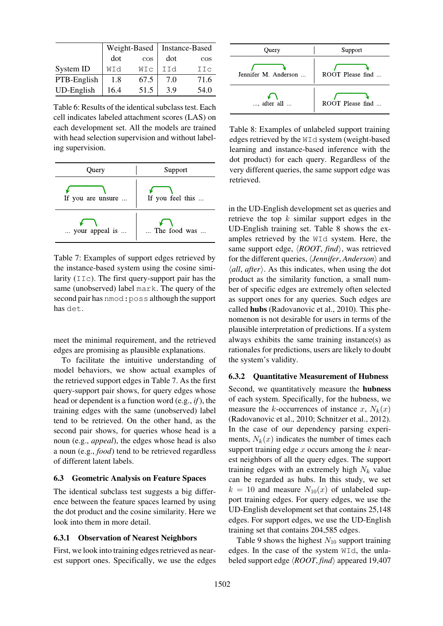|                   |      | Weight-Based | Instance-Based |        |
|-------------------|------|--------------|----------------|--------|
|                   | dot  | $\cos$       | dot            | $\cos$ |
| System ID         | WId  | WIC          | IId            | IIc    |
| PTB-English       | 1.8  | 67.5         | 7.0            | 71.6   |
| <b>UD-English</b> | 16.4 | 51.5         | 3.9            | 54.0   |

Table 6: Results of the identical subclass test. Each cell indicates labeled attachment scores (LAS) on each development set. All the models are trained with head selection supervision and without labeling supervision.

<span id="page-9-1"></span>

| Query             | Support          |  |
|-------------------|------------------|--|
| If you are unsure | If you feel this |  |
| your appeal is    | The food was     |  |

Table 7: Examples of support edges retrieved by the instance-based system using the cosine similarity (IIc). The first query-support pair has the same (unobserved) label mark. The query of the second pair has nmod:poss although the support has det.

<span id="page-9-2"></span>meet the minimal requirement, and the retrieved edges are promising as plausible explanations.

To facilitate the intuitive understanding of model behaviors, we show actual examples of the retrieved support edges in Table 7. As the first query-support pair shows, for query edges whose head or dependent is a function word (e.g., *if*), the training edges with the same (unobserved) label tend to be retrieved. On the [other](#page-9-2) [h](#page-9-2)and, as the second pair shows, for queries whose head is a noun (e.g., *appeal*), the edges whose head is also a noun (e.g., *food*) tend to be retrieved regardless of different latent labels.

## 6.3 Geometric Analysis on Feature Spaces

<span id="page-9-0"></span>The identical subclass test suggests a big difference between the feature spaces learned by using the dot product and the cosine similarity. Here we look into them in more detail.

# 6.3.1 Observation of Nearest Neighbors

First, we look into training edges retrieved as nearest support ones. Specifically, we use the edges



Table 8: Examples of unlabeled support training edges retrieved by the WId system (weight-based learning and instance-based inference with the dot product) for each query. Regardless of the very different queries, the same support edge was retrieved.

<span id="page-9-3"></span>in the UD-English development set as queries and retrieve the top  $k$  similar support edges in the UD-English training set. Table 8 shows the examples retrieved by the WId system. Here, the same support edge,  $\langle ROOT, find \rangle$ , was retrieved for the different queries, *(Jennifer, Anderson)* and  $\langle all, after \rangle$ . As this indic[ates,](#page-9-3) [when](#page-9-3) using the dot product as the similarity function, a small number of specific edges are extremely often selected as support ones for any queries. Such edges are called hubs (Radovanovic et al., 2010). This phenomenon is not desirable for users in terms of the plausible interpretation of predictions. If a system always exhibits the same training instance(s) as rationales fo[r](#page-13-6) [predictions,](#page-13-6) [users](#page-13-6) [are](#page-13-6) [like](#page-13-6)ly to doubt the system's validity.

## 6.3.2 Quantitative Measurement of Hubness

Second, we quantitatively measure the hubness of each system. Specifically, for the hubness, we measure the k-occurrences of instance x,  $N_k(x)$ (Radovanovic et al., 2010; Schnitzer et al., 2012). In the case of our dependency parsing experiments,  $N_k(x)$  indicates the number of times each support training edge  $x$  occurs among the  $k$  near[est](#page-13-6) [neighbors](#page-13-6) [of](#page-13-6) [all](#page-13-6) [the](#page-13-6) [qu](#page-13-6)[ery](#page-13-23) [edges.](#page-13-23) [The](#page-13-23) [suppor](#page-13-23)t training edges with an extremely high  $N_k$  value can be regarded as hubs. In this study, we set  $k = 10$  and measure  $N_{10}(x)$  of unlabeled support training edges. For query edges, we use the UD-English development set that contains 25,148 edges. For support edges, we use the UD-English training set that contains 204,585 edges.

Table 9 shows the highest  $N_{10}$  support training edges. In the case of the system WId, the unlabeled support edge *(ROOT, find)* appeared 19,407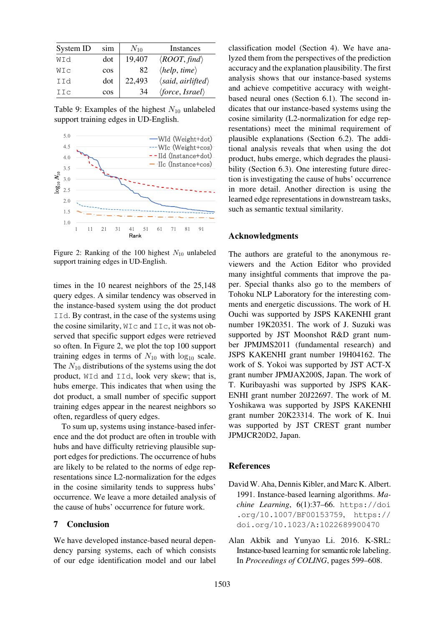| System ID | sim    | $N_{10}$ | Instances                         |
|-----------|--------|----------|-----------------------------------|
| WId       | dot    | 19,407   | $\langle ROOT, find \rangle$      |
| WIc       | $\cos$ | 82       | $\langle help, time \rangle$      |
| IId       | dot    | 22,493   | $\langle said, airlifted \rangle$ |
| IIc       | COS    | 34       | $\langle force, Israel \rangle$   |

Table 9: Examples of the highest  $N_{10}$  unlabeled support training edges in UD-English.



Figure 2: Ranking of the 100 highest  $N_{10}$  unlabeled support training edges in UD-English.

<span id="page-10-3"></span>times in the 10 nearest neighbors of the 25,148 query edges. A similar tendency was observed in the instance-based system using the dot product IId. By contrast, in the case of the systems using the cosine similarity,  $W\text{I}c$  and  $I\text{I}c$ , it was not observed that specific support edges were retrieved so often. In Figure 2, we plot the top 100 support training edges in terms of  $N_{10}$  with  $\log_{10}$  scale. The  $N_{10}$  distributions of the systems using the dot product, WId and IId, look very skew; that is, hubs emer[ge.](#page-10-3) [This](#page-10-3) [in](#page-10-3)dicates that when using the dot product, a small number of specific support training edges appear in the nearest neighbors so often, regardless of query edges.

To sum up, systems using instance-based inference and the dot product are often in trouble with hubs and have difficulty retrieving plausible support edges for predictions. The occurrence of hubs are likely to be related to the norms of edge representations since L2-normalization for the edges in the cosine similarity tends to suppress hubs' occurrence. We leave a more detailed analysis of the cause of hubs' occurrence for future work.

### 7 Conclusion

We have developed instance-based neural dependency parsing systems, each of which consists of our edge identification model and our label classification model (Section 4). We have analyzed them from the perspectives of the prediction accuracy and the explanation plausibility. The first analysis shows that our instance-based systems and achieve competi[tive](#page-3-0) [accura](#page-3-0)cy with weightbased neural ones (Section 6.1). The second indicates that our instance-based systems using the cosine similarity (L2-normalization for edge representations) meet the minimal requirement of plausible explanati[ons](#page-7-0) [\(Section](#page-7-0) 6.2). The additional analysis reveals that when using the dot product, hubs emerge, which degrades the plausibility (Section 6.3). One interesting future direction is investigating the [cause](#page-8-0) [of](#page-8-0) [hubs](#page-8-0)' occurrence in more detail. Another direction is using the learned edge representations in downstream tasks, such a[s](#page-9-0) [semantic](#page-9-0) [te](#page-9-0)xtual similarity.

## Acknowledgments

The authors are grateful to the anonymous reviewers and the Action Editor who provided many insightful comments that improve the paper. Special thanks also go to the members of Tohoku NLP Laboratory for the interesting comments and energetic discussions. The work of H. Ouchi was supported by JSPS KAKENHI grant number 19K20351. The work of J. Suzuki was supported by JST Moonshot R&D grant number JPMJMS2011 (fundamental research) and JSPS KAKENHI grant number 19H04162. The work of S. Yokoi was supported by JST ACT-X grant number JPMJAX200S, Japan. The work of T. Kuribayashi was supported by JSPS KAK-ENHI grant number 20J22697. The work of M. Yoshikawa was supported by JSPS KAKENHI grant number 20K23314. The work of K. Inui was supported by JST CREST grant number JPMJCR20D2, Japan.

## References

- David W. Aha, Dennis Kibler, and Marc K. Albert. 1991. Instance-based learning algorithms. *Machine Learning*, 6(1):37–66. https://doi .org/10.1007/BF00153759, https:// doi.org/10.1023/A:1022689900470
- <span id="page-10-2"></span><span id="page-10-1"></span><span id="page-10-0"></span>Alan Akbik and Yunyao Li. [2016. K-SRL:](https://doi.org/10.1007/BF00153759) [Instance-based learning for semanti](https://doi.org/10.1007/BF00153759)cr[ole labeling.](https://doi.org/10.1023/A:1022689900470) In *[Proceedings of COLING](https://doi.org/10.1023/A:1022689900470)*, pages 599–608.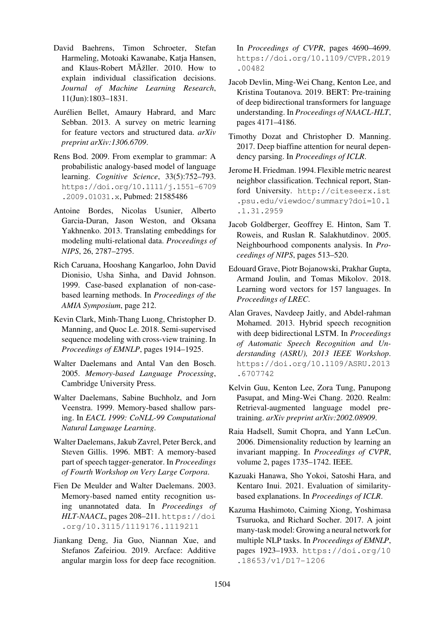- David Baehrens, Timon Schroeter, Stefan Harmeling, Motoaki Kawanabe, Katja Hansen, and Klaus-Robert MÞller. 2010. How to explain individual classification decisions. *Journal of Machine Learning Research*, 11(Jun):1803–1831.
- <span id="page-11-2"></span>Aurélien Bellet, Amaury Habrard, and Marc Sebban. 2013. A survey on metric learning for feature vectors and structured data. *arXiv preprint arXiv:1306.6709*.
- Rens Bod. 2009. From exemplar to grammar: A probabilistic analogy-based model of language learning. *Cognitive Science*, 33(5):752–793. https://doi.org/10.1111/j.1551-6709 .2009.01031.x, Pubmed: 21585486
- <span id="page-11-12"></span>Antoine Bordes, Nicolas Usunier, Alberto [Garcia-Duran, Jason Weston, and Oksana](https://doi.org/10.1111/j.1551-6709.2009.01031.x) [Yakhnenko. 2013.](https://doi.org/10.1111/j.1551-6709.2009.01031.x) Translati[ng embedd](https://pubmed.ncbi.nlm.nih.gov/21585486)ings for modeling multi-relational data. *Proceedings of NIPS*, 26, 2787–2795.
- <span id="page-11-16"></span>Rich Caruana, Hooshang Kangarloo, John David Dionisio, Usha Sinha, and David Johnson. 1999. Case-based explanation of non-casebased learning methods. In *Proceedings of the AMIA Symposium*, page 212.
- <span id="page-11-1"></span>Kevin Clark, Minh-Thang Luong, Christopher D. Manning, and Quoc Le. 2018. Semi-supervised sequence modeling with cross-view training. In *Proceedings of EMNLP*, pages 1914–1925.
- <span id="page-11-7"></span>Walter Daelemans and Antal Van den Bosch. 2005. *Memory-based Language Processing*, Cambridge University Press.
- <span id="page-11-8"></span>Walter Daelemans, Sabine Buchholz, and Jorn Veenstra. 1999. Memory-based shallow parsing. In *EACL 1999: CoNLL-99 Computational Natural Language Learning*.
- <span id="page-11-11"></span>Walter Daelemans, Jakub Zavrel, Peter Berck, and Steven Gillis. 1996. MBT: A memory-based part of speech tagger-generator. In *Proceedings of Fourth Workshop on Very Large Corpora*.
- <span id="page-11-9"></span>Fien De Meulder and Walter Daelemans. 2003. Memory-based named entity recognition using unannotated data. In *Proceedings of HLT-NAACL*, pages 208–211. https://doi .org/10.3115/1119176.1119211
- <span id="page-11-10"></span><span id="page-11-3"></span>Jiankang Deng, Jia Guo, Niannan Xue, and Stefanos Zafeiriou. 2019. A[rcface: Additive](https://doi.org/10.3115/1119176.1119211) [angular margin loss for deep face recogni](https://doi.org/10.3115/1119176.1119211)tion.

In *Proceedings of CVPR*, pages 4690–4699. https://doi.org/10.1109/CVPR.2019 .00482

- Jacob Devlin, Ming-Wei Chang, Kenton Lee, and [Kristina Toutanova. 2019. BERT: Pre-training](https://doi.org/10.1109/CVPR.2019.00482) [of deep b](https://doi.org/10.1109/CVPR.2019.00482)idirectional transformers for language understanding. In *Proceedings of NAACL-HLT*, pages 4171–4186.
- <span id="page-11-18"></span>Timothy Dozat and Christopher D. Manning. 2017. Deep biaffine attention for neural dependency parsing. In *Proceedings of ICLR*.
- <span id="page-11-17"></span><span id="page-11-5"></span>Jerome H. Friedman. 1994. Flexible metric nearest neighbor classification. Technical report, Stanford University. http://citeseerx.ist .psu.edu/viewdoc/summary?doi=10.1 .1.31.2959
- <span id="page-11-13"></span>Jacob Goldberger, [Geoffrey E. Hinton, Sam T.](http://citeseerx.ist.psu.edu/viewdoc/summary?doi=10.1.1.31.2959) [Roweis, and Ruslan R. Salakhutdinov. 2005.](http://citeseerx.ist.psu.edu/viewdoc/summary?doi=10.1.1.31.2959) [Neighbourhood](http://citeseerx.ist.psu.edu/viewdoc/summary?doi=10.1.1.31.2959) components analysis. In *Proceedings of NIPS*, pages 513–520.
- <span id="page-11-14"></span>Edouard Grave, Piotr Bojanowski, Prakhar Gupta, Armand Joulin, and Tomas Mikolov. 2018. Learning word vectors for 157 languages. In *Proceedings of LREC*.
- <span id="page-11-21"></span><span id="page-11-20"></span><span id="page-11-19"></span>Alan Graves, Navdeep Jaitly, and Abdel-rahman Mohamed. 2013. Hybrid speech recognition with deep bidirectional LSTM. In *Proceedings of Automatic Speech Recognition and Understanding (ASRU), 2013 IEEE Workshop*. https://doi.org/10.1109/ASRU.2013 .6707742
- Kelvin Guu, Kenton Lee, Zora Tung, Panupong [Pasupat, and Ming-Wei Chang. 2020. Realm:](https://doi.org/10.1109/ASRU.2013.6707742) [Retrieval-au](https://doi.org/10.1109/ASRU.2013.6707742)gmented language model pretraining. *arXiv preprint arXiv:2002.08909*.
- <span id="page-11-0"></span>Raia Hadsell, Sumit Chopra, and Yann LeCun. 2006. Dimensionality reduction by learning an invariant mapping. In *Proceedings of CVPR*, volume 2, pages 1735–1742. IEEE.
- <span id="page-11-15"></span>Kazuaki Hanawa, Sho Yokoi, Satoshi Hara, and Kentaro Inui. 2021. Evaluation of similaritybased explanations. In *Proceedings of ICLR*.
- <span id="page-11-6"></span><span id="page-11-4"></span>Kazuma Hashimoto, Caiming Xiong, Yoshimasa Tsuruoka, and Richard Socher. 2017. A joint many-task model: Growing a neural network for multiple NLP tasks. In *Proceedings of EMNLP*, pages 1923–1933. https://doi.org/10 .18653/v1/D17-1206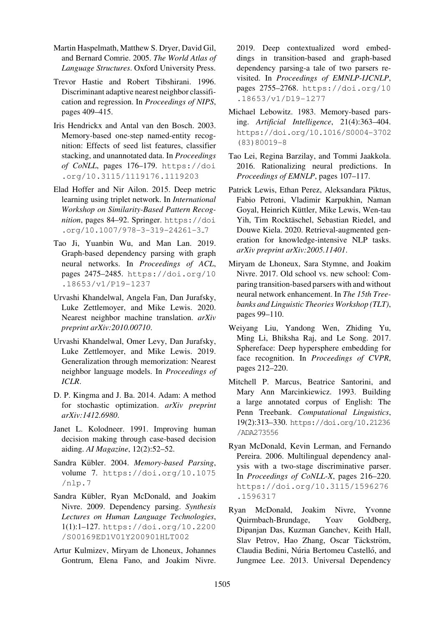- Martin Haspelmath, Matthew S. Dryer, David Gil, and Bernard Comrie. 2005. *The World Atlas of Language Structures*. Oxford University Press.
- Trevor Hastie and Robert Tibshirani. 1996. Discriminant adaptive nearest neighbor classification and regression. In *Proceedings of NIPS*, pages 409–415.
- <span id="page-12-12"></span>Iris Hendrickx and Antal van den Bosch. 2003. Memory-based one-step named-entity recognition: Effects of seed list features, classifier stacking, and unannotated data. In *Proceedings of CoNLL*, pages 176–179. https://doi .org/10.3115/1119176.1119203
- <span id="page-12-6"></span>Elad Hoffer and Nir Ailon. 2015. Deep metric learning using triplet network. In *[International](https://doi.org/10.3115/1119176.1119203) [Workshop on Similarity-Based Pattern Re](https://doi.org/10.3115/1119176.1119203)cognition*, pages 84–92. Springer. https://doi .org/10.1007/978-3-319-24261-3 7
- <span id="page-12-2"></span>Tao Ji, Yuanbin Wu, and Man Lan. 2019. Graph-based dependency par[sing with graph](https://doi.org/10.1007/978-3-319-24261-3_7) [neural networks. In](https://doi.org/10.1007/978-3-319-24261-3_7) *Proceedings of ACL*, pages 2475–2485. https://doi.org/10 .18653/v1/P19-1237
- <span id="page-12-5"></span>Urvashi Khandelwal, Angela Fan, Dan Jurafsky, Luke Zettlemoyer, [and Mike Lewis. 2020.](https://doi.org/10.18653/v1/P19-1237) [Nearest neighbor machine](https://doi.org/10.18653/v1/P19-1237) translation. *arXiv preprint arXiv:2010.00710*.
- <span id="page-12-10"></span>Urvashi Khandelwal, Omer Levy, Dan Jurafsky, Luke Zettlemoyer, and Mike Lewis. 2019. Generalization through memorization: Nearest neighbor language models. In *Proceedings of ICLR*.
- <span id="page-12-9"></span>D. P. Kingma and J. Ba. 2014. Adam: A method for stochastic optimization. *arXiv preprint arXiv:1412.6980*.
- <span id="page-12-18"></span>Janet L. Kolodneer. 1991. Improving human decision making through case-based decision aiding. *AI Magazine*, 12(2):52–52.
- <span id="page-12-1"></span>Sandra Kübler. 2004. Memory-based Parsing, volume 7. https://doi.org/10.1075 /nlp.7
- <span id="page-12-8"></span>Sandra Kübler, Ryan McDonald, and Joakim Nivre. 200[9. Dependency parsing.](https://doi.org/10.1075/nlp.7) *Synthesis [Lectures](https://doi.org/10.1075/nlp.7) on Human Language Technologies*, 1(1):1–127. https://doi.org/10.2200 /S00169ED1V01Y200901HLT002
- <span id="page-12-16"></span><span id="page-12-4"></span>Artur Kulmizev, Miryam de Lhoneux, Johannes Gontrum, [Elena Fano, and Joakim Nivre.](https://doi.org/10.2200/S00169ED1V01Y200901HLT002)

2019. Deep contextualized word embeddings in transition-based and graph-based dependency parsing-a tale of two parsers revisited. In *Proceedings of EMNLP-IJCNLP*, pages 2755–2768. https://doi.org/10 .18653/v1/D19-1277

- Michael Lebowitz. 1983. Memory-based parsing. *Artificial Intelligence*[, 21\(4\):363–404.](https://doi.org/10.18653/v1/D19-1277) [https://doi.org/10.1](https://doi.org/10.18653/v1/D19-1277)016/S0004-3702 (83)80019-8
- <span id="page-12-7"></span>Tao Lei, Regina Barzilay, and Tommi Jaakkola. [2016. Rationalizing neural predictions. In](https://doi.org/10.1016/S0004-3702(83)80019-8) *[Proceedings of](https://doi.org/10.1016/S0004-3702(83)80019-8) EMNLP*, pages 107–117.
- <span id="page-12-11"></span><span id="page-12-0"></span>Patrick Lewis, Ethan Perez, Aleksandara Piktus, Fabio Petroni, Vladimir Karpukhin, Naman Goyal, Heinrich Küttler, Mike Lewis, Wen-tau Yih, Tim Rocktäschel, Sebastian Riedel, and Douwe Kiela. 2020. Retrieval-augmented generation for knowledge-intensive NLP tasks. *arXiv preprint arXiv:2005.11401*.
- Miryam de Lhoneux, Sara Stymne, and Joakim Nivre. 2017. Old school vs. new school: Comparing transition-based parsers with and without neural network enhancement. In *The 15th Treebanks and Linguistic Theories Workshop (TLT)*, pages 99–110.
- <span id="page-12-17"></span>Weiyang Liu, Yandong Wen, Zhiding Yu, Ming Li, Bhiksha Raj, and Le Song. 2017. Sphereface: Deep hypersphere embedding for face recognition. In *Proceedings of CVPR*, pages 212–220.
- <span id="page-12-3"></span>Mitchell P. Marcus, Beatrice Santorini, and Mary Ann Marcinkiewicz. 1993. Building a large annotated corpus of English: The Penn Treebank. *Computational Linguistics*, 19(2):313–330. https://doi.org/10.21236 /ADA273556
- <span id="page-12-14"></span>Ryan McDonald, Kevin Lerman, and Fernando Pereira. 2006. [Multilingual dependency anal](https://doi.org/10.21236/ADA273556)[ysis with a](https://doi.org/10.21236/ADA273556) two-stage discriminative parser. In *Proceedings of CoNLL-X*, pages 216–220. https://doi.org/10.3115/1596276 .1596317
- <span id="page-12-15"></span><span id="page-12-13"></span>Ryan McDonald, Joakim Nivre, Yvonne [Quirmbach-Brundage, Yoav Goldberg,](https://doi.org/10.3115/1596276.1596317) [Dipanjan Da](https://doi.org/10.3115/1596276.1596317)s, Kuzman Ganchev, Keith Hall, Slav Petrov, Hao Zhang, Oscar Täckström, Claudia Bedini, Núria Bertomeu Castelló, and Jungmee Lee. 2013. Universal Dependency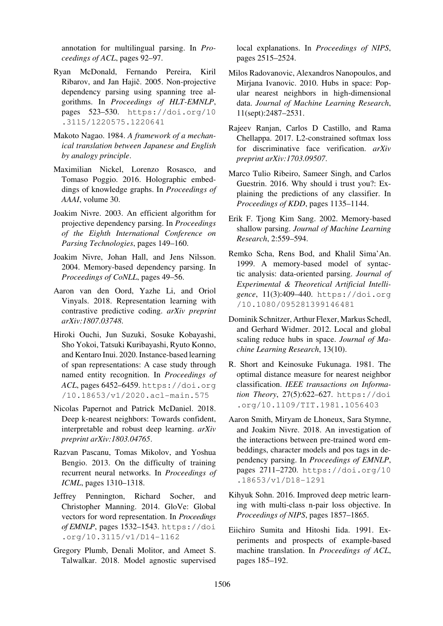annotation for multilingual parsing. In *Proceedings of ACL*, pages 92–97.

- Ryan McDonald, Fernando Pereira, Kiril Ribarov, and Jan Hajič. 2005. Non-projective dependency parsing using spanning tree algorithms. In *Proceedings of HLT-EMNLP*, pages 523–530. https://doi.org/10 .3115/1220575.1220641
- <span id="page-13-8"></span>Makoto Nagao. 1984. *A framework of a mechanical translation bet[ween Japanese and English](https://doi.org/10.3115/1220575.1220641) [by analogy principle](https://doi.org/10.3115/1220575.1220641)*.
- <span id="page-13-11"></span>Maximilian Nickel, Lorenzo Rosasco, and Tomaso Poggio. 2016. Holographic embeddings of knowledge graphs. In *Proceedings of AAAI*, volume 30.
- <span id="page-13-17"></span>Joakim Nivre. 2003. An efficient algorithm for projective dependency parsing. In *Proceedings of the Eighth International Conference on Parsing Technologies*, pages 149–160.
- <span id="page-13-7"></span>Joakim Nivre, Johan Hall, and Jens Nilsson. 2004. Memory-based dependency parsing. In *Proceedings of CoNLL*, pages 49–56.
- <span id="page-13-13"></span>Aaron van den Oord, Yazhe Li, and Oriol Vinyals. 2018. Representation learning with contrastive predictive coding. *arXiv preprint arXiv:1807.03748*.
- <span id="page-13-19"></span><span id="page-13-4"></span>Hiroki Ouchi, Jun Suzuki, Sosuke Kobayashi, Sho Yokoi, Tatsuki Kuribayashi, Ryuto Konno, and Kentaro Inui. 2020. Instance-based learning of span representations: A case study through named entity recognition. In *Proceedings of ACL*, pages 6452–6459. https://doi.org /10.18653/v1/2020.acl-main.575
- Nicolas Papernot and Patrick McDaniel. 2018. Deep k-nearest neighbo[rs: Towards confident,](https://doi.org/10.18653/v1/2020.acl-main.575) [interpretable and robust deep learning.](https://doi.org/10.18653/v1/2020.acl-main.575) *arXiv preprint arXiv:1803.04765*.
- <span id="page-13-2"></span>Razvan Pascanu, Tomas Mikolov, and Yoshua Bengio. 2013. On the difficulty of training recurrent neural networks. In *Proceedings of ICML*, pages 1310–1318.
- <span id="page-13-22"></span>Jeffrey Pennington, Richard Socher, and Christopher Manning. 2014. GloVe: Global vectors for word representation. In *Proceedings of EMNLP*, pages 1532–1543. https://doi .org/10.3115/v1/D14-1162
- <span id="page-13-21"></span><span id="page-13-20"></span><span id="page-13-3"></span>Gregory Plumb, Denali Molitor, and Ameet S. Talwalkar. 2018. Model agn[ostic supervised](https://doi.org/10.3115/v1/D14-1162)

local explanations. In *Proceedings of NIPS*, pages 2515–2524.

- Milos Radovanovic, Alexandros Nanopoulos, and Mirjana Ivanovic. 2010. Hubs in space: Popular nearest neighbors in high-dimensional data. *Journal of Machine Learning Research*, 11(sept):2487–2531.
- <span id="page-13-6"></span><span id="page-13-5"></span>Rajeev Ranjan, Carlos D Castillo, and Rama Chellappa. 2017. L2-constrained softmax loss for discriminative face verification. *arXiv preprint arXiv:1703.09507*.
- <span id="page-13-15"></span>Marco Tulio Ribeiro, Sameer Singh, and Carlos Guestrin. 2016. Why should i trust you?: Explaining the predictions of any classifier. In *Proceedings of KDD*, pages 1135–1144.
- <span id="page-13-1"></span><span id="page-13-0"></span>Erik F. Tjong Kim Sang. 2002. Memory-based shallow parsing. *Journal of Machine Learning Research*, 2:559–594.
- <span id="page-13-9"></span>Remko Scha, Rens Bod, and Khalil Sima'An. 1999. A memory-based model of syntactic analysis: data-oriented parsing. *Journal of Experimental & Theoretical Artificial Intelligence*, 11(3):409–440. https://doi.org /10.1080/095281399146481
- <span id="page-13-10"></span>Dominik Schnitzer, Arthur Flexer, Markus Schedl, and Gerhard Widmer. [2012. Local and global](https://doi.org/10.1080/095281399146481) [scaling reduce hubs in space.](https://doi.org/10.1080/095281399146481) *Journal of Machine Learning Research*, 13(10).
- <span id="page-13-23"></span>R. Short and Keinosuke Fukunaga. 1981. The optimal distance measure for nearest neighbor classification. *IEEE transactions on Information Theory*, 27(5):622–627. https://doi .org/10.1109/TIT.1981.1056403
- <span id="page-13-18"></span><span id="page-13-14"></span>Aaron Smith, Miryam de Lhoneux, Sara Stymne, and Joakim Nivre. 2018. An [investigation of](https://doi.org/10.1109/TIT.1981.1056403) [the interactions between pre-trained word e](https://doi.org/10.1109/TIT.1981.1056403)mbeddings, character models and pos tags in dependency parsing. In *Proceedings of EMNLP*, pages 2711–2720. https://doi.org/10 .18653/v1/D18-1291
- Kihyuk Sohn. 2016. Improved deep metric learning with multi-clas[s n-pair loss objective. In](https://doi.org/10.18653/v1/D18-1291) *[Proceedings of NIPS](https://doi.org/10.18653/v1/D18-1291)*, pages 1857–1865.
- <span id="page-13-16"></span><span id="page-13-12"></span>Eiichiro Sumita and Hitoshi Iida. 1991. Experiments and prospects of example-based machine translation. In *Proceedings of ACL*, pages 185–192.